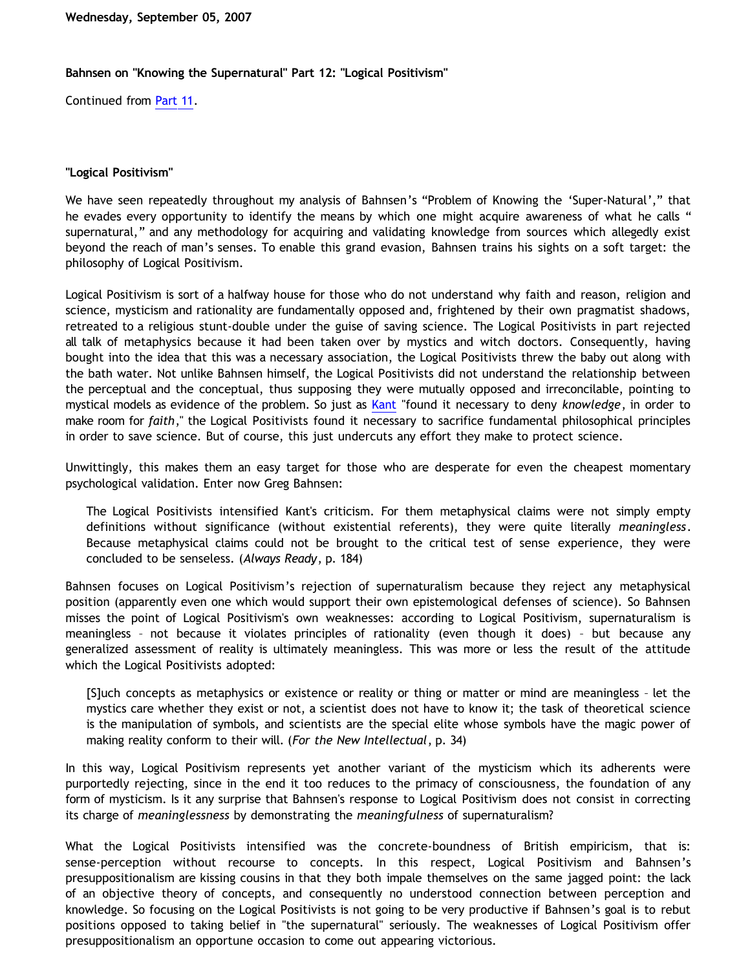## **Bahnsen on "Knowing the Supernatural" Part 12: "Logical Positivism"**

Continued from [Part 11](http://bahnsenburner.blogspot.com/2007/09/bahnsen-on-knowing-supernatural-part-11.html).

## **"Logical Positivism"**

We have seen repeatedly throughout my analysis of Bahnsen's "Problem of Knowing the 'Super-Natural'," that he evades every opportunity to identify the means by which one might acquire awareness of what he calls " supernatural," and any methodology for acquiring and validating knowledge from sources which allegedly exist beyond the reach of man's senses. To enable this grand evasion, Bahnsen trains his sights on a soft target: the philosophy of Logical Positivism.

Logical Positivism is sort of a halfway house for those who do not understand why faith and reason, religion and science, mysticism and rationality are fundamentally opposed and, frightened by their own pragmatist shadows, retreated to a religious stunt-double under the guise of saving science. The Logical Positivists in part rejected all talk of metaphysics because it had been taken over by mystics and witch doctors. Consequently, having bought into the idea that this was a necessary association, the Logical Positivists threw the baby out along with the bath water. Not unlike Bahnsen himself, the Logical Positivists did not understand the relationship between the perceptual and the conceptual, thus supposing they were mutually opposed and irreconcilable, pointing to mystical models as evidence of the problem. So just as [Kant](http://www.wutsamada.com/alma/modern/kantquo1a.htm) "found it necessary to deny *knowledge*, in order to make room for *faith*," the Logical Positivists found it necessary to sacrifice fundamental philosophical principles in order to save science. But of course, this just undercuts any effort they make to protect science.

Unwittingly, this makes them an easy target for those who are desperate for even the cheapest momentary psychological validation. Enter now Greg Bahnsen:

The Logical Positivists intensified Kant's criticism. For them metaphysical claims were not simply empty definitions without significance (without existential referents), they were quite literally *meaningless*. Because metaphysical claims could not be brought to the critical test of sense experience, they were concluded to be senseless. (*Always Ready*, p. 184)

Bahnsen focuses on Logical Positivism's rejection of supernaturalism because they reject any metaphysical position (apparently even one which would support their own epistemological defenses of science). So Bahnsen misses the point of Logical Positivism's own weaknesses: according to Logical Positivism, supernaturalism is meaningless – not because it violates principles of rationality (even though it does) – but because any generalized assessment of reality is ultimately meaningless. This was more or less the result of the attitude which the Logical Positivists adopted:

[S]uch concepts as metaphysics or existence or reality or thing or matter or mind are meaningless – let the mystics care whether they exist or not, a scientist does not have to know it; the task of theoretical science is the manipulation of symbols, and scientists are the special elite whose symbols have the magic power of making reality conform to their will. (*For the New Intellectual*, p. 34)

In this way, Logical Positivism represents yet another variant of the mysticism which its adherents were purportedly rejecting, since in the end it too reduces to the primacy of consciousness, the foundation of any form of mysticism. Is it any surprise that Bahnsen's response to Logical Positivism does not consist in correcting its charge of *meaninglessness* by demonstrating the *meaningfulness* of supernaturalism?

What the Logical Positivists intensified was the concrete-boundness of British empiricism, that is: sense-perception without recourse to concepts. In this respect, Logical Positivism and Bahnsen's presuppositionalism are kissing cousins in that they both impale themselves on the same jagged point: the lack of an objective theory of concepts, and consequently no understood connection between perception and knowledge. So focusing on the Logical Positivists is not going to be very productive if Bahnsen's goal is to rebut positions opposed to taking belief in "the supernatural" seriously. The weaknesses of Logical Positivism offer presuppositionalism an opportune occasion to come out appearing victorious.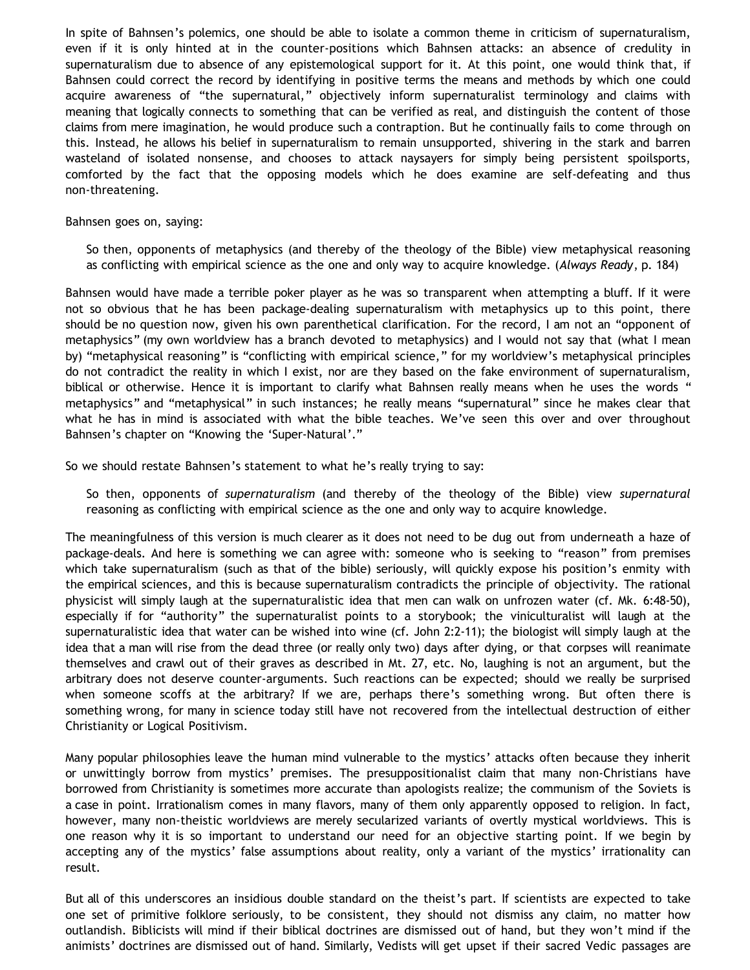In spite of Bahnsen's polemics, one should be able to isolate a common theme in criticism of supernaturalism, even if it is only hinted at in the counter-positions which Bahnsen attacks: an absence of credulity in supernaturalism due to absence of any epistemological support for it. At this point, one would think that, if Bahnsen could correct the record by identifying in positive terms the means and methods by which one could acquire awareness of "the supernatural," objectively inform supernaturalist terminology and claims with meaning that logically connects to something that can be verified as real, and distinguish the content of those claims from mere imagination, he would produce such a contraption. But he continually fails to come through on this. Instead, he allows his belief in supernaturalism to remain unsupported, shivering in the stark and barren wasteland of isolated nonsense, and chooses to attack naysayers for simply being persistent spoilsports, comforted by the fact that the opposing models which he does examine are self-defeating and thus non-threatening.

## Bahnsen goes on, saying:

So then, opponents of metaphysics (and thereby of the theology of the Bible) view metaphysical reasoning as conflicting with empirical science as the one and only way to acquire knowledge. (*Always Ready*, p. 184)

Bahnsen would have made a terrible poker player as he was so transparent when attempting a bluff. If it were not so obvious that he has been package-dealing supernaturalism with metaphysics up to this point, there should be no question now, given his own parenthetical clarification. For the record, I am not an "opponent of metaphysics" (my own worldview has a branch devoted to metaphysics) and I would not say that (what I mean by) "metaphysical reasoning" is "conflicting with empirical science," for my worldview's metaphysical principles do not contradict the reality in which I exist, nor are they based on the fake environment of supernaturalism, biblical or otherwise. Hence it is important to clarify what Bahnsen really means when he uses the words " metaphysics" and "metaphysical" in such instances; he really means "supernatural" since he makes clear that what he has in mind is associated with what the bible teaches. We've seen this over and over throughout Bahnsen's chapter on "Knowing the 'Super-Natural'."

So we should restate Bahnsen's statement to what he's really trying to say:

So then, opponents of *supernaturalism* (and thereby of the theology of the Bible) view *supernatural* reasoning as conflicting with empirical science as the one and only way to acquire knowledge.

The meaningfulness of this version is much clearer as it does not need to be dug out from underneath a haze of package-deals. And here is something we can agree with: someone who is seeking to "reason" from premises which take supernaturalism (such as that of the bible) seriously, will quickly expose his position's enmity with the empirical sciences, and this is because supernaturalism contradicts the principle of objectivity. The rational physicist will simply laugh at the supernaturalistic idea that men can walk on unfrozen water (cf. Mk. 6:48-50), especially if for "authority" the supernaturalist points to a storybook; the viniculturalist will laugh at the supernaturalistic idea that water can be wished into wine (cf. John 2:2-11); the biologist will simply laugh at the idea that a man will rise from the dead three (or really only two) days after dying, or that corpses will reanimate themselves and crawl out of their graves as described in Mt. 27, etc. No, laughing is not an argument, but the arbitrary does not deserve counter-arguments. Such reactions can be expected; should we really be surprised when someone scoffs at the arbitrary? If we are, perhaps there's something wrong. But often there is something wrong, for many in science today still have not recovered from the intellectual destruction of either Christianity or Logical Positivism.

Many popular philosophies leave the human mind vulnerable to the mystics' attacks often because they inherit or unwittingly borrow from mystics' premises. The presuppositionalist claim that many non-Christians have borrowed from Christianity is sometimes more accurate than apologists realize; the communism of the Soviets is a case in point. Irrationalism comes in many flavors, many of them only apparently opposed to religion. In fact, however, many non-theistic worldviews are merely secularized variants of overtly mystical worldviews. This is one reason why it is so important to understand our need for an objective starting point. If we begin by accepting any of the mystics' false assumptions about reality, only a variant of the mystics' irrationality can result.

But all of this underscores an insidious double standard on the theist's part. If scientists are expected to take one set of primitive folklore seriously, to be consistent, they should not dismiss any claim, no matter how outlandish. Biblicists will mind if their biblical doctrines are dismissed out of hand, but they won't mind if the animists' doctrines are dismissed out of hand. Similarly, Vedists will get upset if their sacred Vedic passages are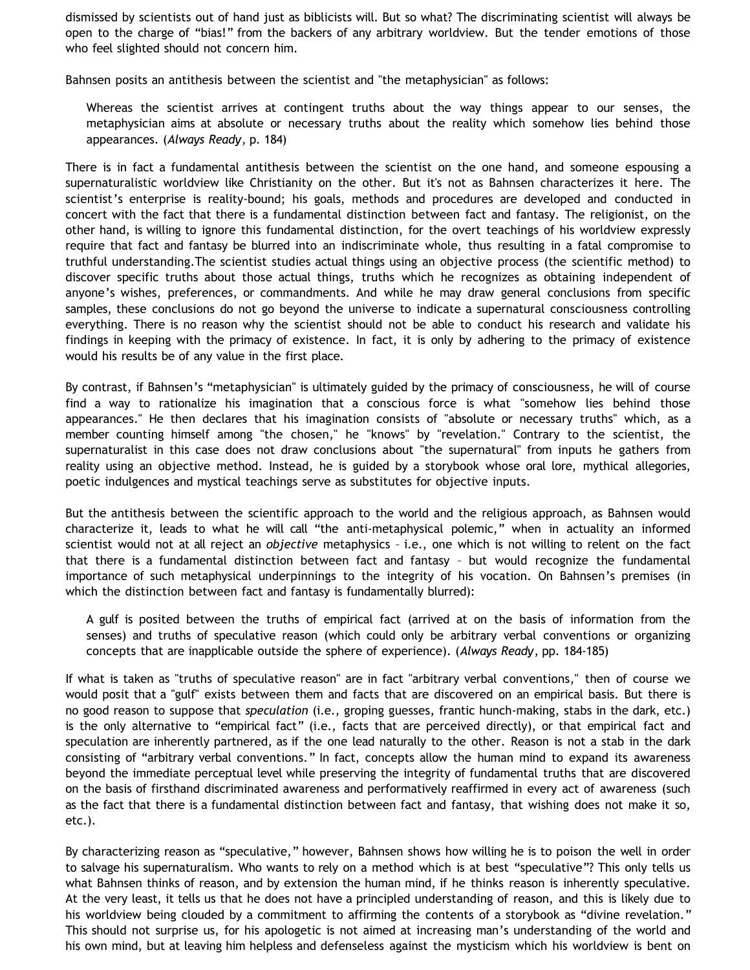dismissed by scientists out of hand just as biblicists will. But so what? The discriminating scientist will always be open to the charge of "bias!" from the backers of any arbitrary worldview. But the tender emotions of those who feel slighted should not concern him.

Bahnsen posits an antithesis between the scientist and "the metaphysician" as follows:

Whereas the scientist arrives at contingent truths about the way things appear to our senses, the metaphysician aims at absolute or necessary truths about the reality which somehow lies behind those appearances. (*Always Ready*, p. 184)

There is in fact a fundamental antithesis between the scientist on the one hand, and someone espousing a supernaturalistic worldview like Christianity on the other. But it's not as Bahnsen characterizes it here. The scientist's enterprise is reality-bound; his goals, methods and procedures are developed and conducted in concert with the fact that there is a fundamental distinction between fact and fantasy. The religionist, on the other hand, is willing to ignore this fundamental distinction, for the overt teachings of his worldview expressly require that fact and fantasy be blurred into an indiscriminate whole, thus resulting in a fatal compromise to truthful understanding.The scientist studies actual things using an objective process (the scientific method) to discover specific truths about those actual things, truths which he recognizes as obtaining independent of anyone's wishes, preferences, or commandments. And while he may draw general conclusions from specific samples, these conclusions do not go beyond the universe to indicate a supernatural consciousness controlling everything. There is no reason why the scientist should not be able to conduct his research and validate his findings in keeping with the primacy of existence. In fact, it is only by adhering to the primacy of existence would his results be of any value in the first place.

By contrast, if Bahnsen's "metaphysician" is ultimately guided by the primacy of consciousness, he will of course find a way to rationalize his imagination that a conscious force is what "somehow lies behind those appearances." He then declares that his imagination consists of "absolute or necessary truths" which, as a member counting himself among "the chosen," he "knows" by "revelation." Contrary to the scientist, the supernaturalist in this case does not draw conclusions about "the supernatural" from inputs he gathers from reality using an objective method. Instead, he is guided by a storybook whose oral lore, mythical allegories, poetic indulgences and mystical teachings serve as substitutes for objective inputs.

But the antithesis between the scientific approach to the world and the religious approach, as Bahnsen would characterize it, leads to what he will call "the anti-metaphysical polemic," when in actuality an informed scientist would not at all reject an *objective* metaphysics – i.e., one which is not willing to relent on the fact that there is a fundamental distinction between fact and fantasy – but would recognize the fundamental importance of such metaphysical underpinnings to the integrity of his vocation. On Bahnsen's premises (in which the distinction between fact and fantasy is fundamentally blurred):

A gulf is posited between the truths of empirical fact (arrived at on the basis of information from the senses) and truths of speculative reason (which could only be arbitrary verbal conventions or organizing concepts that are inapplicable outside the sphere of experience). (*Always Ready*, pp. 184-185)

If what is taken as "truths of speculative reason" are in fact "arbitrary verbal conventions," then of course we would posit that a "gulf" exists between them and facts that are discovered on an empirical basis. But there is no good reason to suppose that *speculation* (i.e., groping guesses, frantic hunch-making, stabs in the dark, etc.) is the only alternative to "empirical fact" (i.e., facts that are perceived directly), or that empirical fact and speculation are inherently partnered, as if the one lead naturally to the other. Reason is not a stab in the dark consisting of "arbitrary verbal conventions." In fact, concepts allow the human mind to expand its awareness beyond the immediate perceptual level while preserving the integrity of fundamental truths that are discovered on the basis of firsthand discriminated awareness and performatively reaffirmed in every act of awareness (such as the fact that there is a fundamental distinction between fact and fantasy, that wishing does not make it so, etc.).

By characterizing reason as "speculative," however, Bahnsen shows how willing he is to poison the well in order to salvage his supernaturalism. Who wants to rely on a method which is at best "speculative"? This only tells us what Bahnsen thinks of reason, and by extension the human mind, if he thinks reason is inherently speculative. At the very least, it tells us that he does not have a principled understanding of reason, and this is likely due to his worldview being clouded by a commitment to affirming the contents of a storybook as "divine revelation." This should not surprise us, for his apologetic is not aimed at increasing man's understanding of the world and his own mind, but at leaving him helpless and defenseless against the mysticism which his worldview is bent on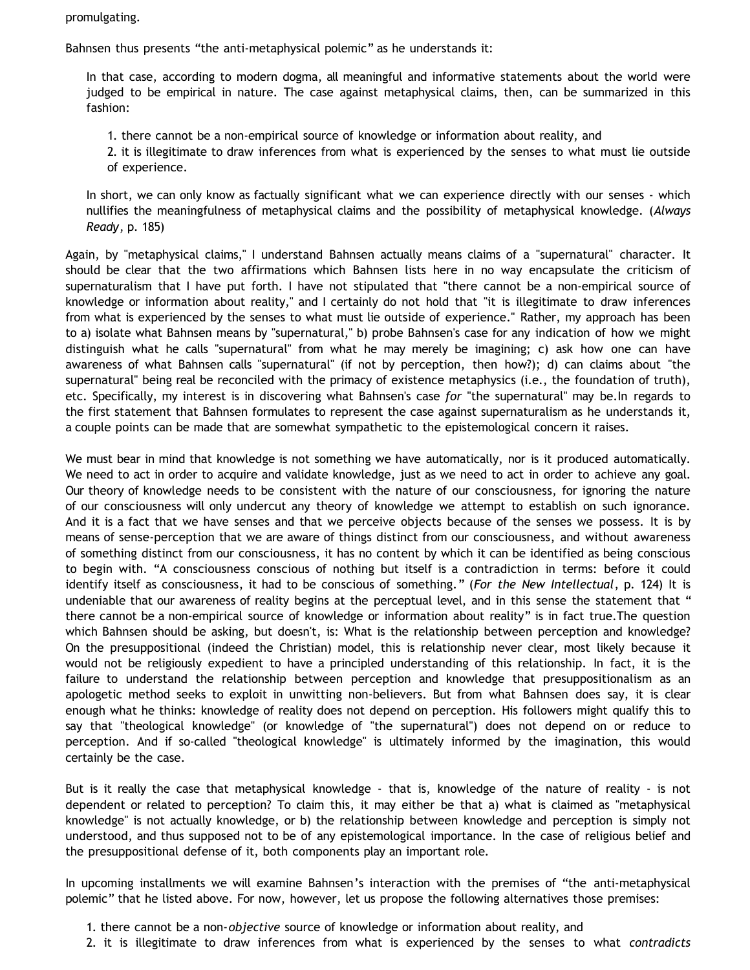promulgating.

Bahnsen thus presents "the anti-metaphysical polemic" as he understands it:

In that case, according to modern dogma, all meaningful and informative statements about the world were judged to be empirical in nature. The case against metaphysical claims, then, can be summarized in this fashion:

- 1. there cannot be a non-empirical source of knowledge or information about reality, and
- 2. it is illegitimate to draw inferences from what is experienced by the senses to what must lie outside of experience.

In short, we can only know as factually significant what we can experience directly with our senses - which nullifies the meaningfulness of metaphysical claims and the possibility of metaphysical knowledge. (*Always Ready*, p. 185)

Again, by "metaphysical claims," I understand Bahnsen actually means claims of a "supernatural" character. It should be clear that the two affirmations which Bahnsen lists here in no way encapsulate the criticism of supernaturalism that I have put forth. I have not stipulated that "there cannot be a non-empirical source of knowledge or information about reality," and I certainly do not hold that "it is illegitimate to draw inferences from what is experienced by the senses to what must lie outside of experience." Rather, my approach has been to a) isolate what Bahnsen means by "supernatural," b) probe Bahnsen's case for any indication of how we might distinguish what he calls "supernatural" from what he may merely be imagining; c) ask how one can have awareness of what Bahnsen calls "supernatural" (if not by perception, then how?); d) can claims about "the supernatural" being real be reconciled with the primacy of existence metaphysics (i.e., the foundation of truth), etc. Specifically, my interest is in discovering what Bahnsen's case *for* "the supernatural" may be.In regards to the first statement that Bahnsen formulates to represent the case against supernaturalism as he understands it, a couple points can be made that are somewhat sympathetic to the epistemological concern it raises.

We must bear in mind that knowledge is not something we have automatically, nor is it produced automatically. We need to act in order to acquire and validate knowledge, just as we need to act in order to achieve any goal. Our theory of knowledge needs to be consistent with the nature of our consciousness, for ignoring the nature of our consciousness will only undercut any theory of knowledge we attempt to establish on such ignorance. And it is a fact that we have senses and that we perceive objects because of the senses we possess. It is by means of sense-perception that we are aware of things distinct from our consciousness, and without awareness of something distinct from our consciousness, it has no content by which it can be identified as being conscious to begin with. "A consciousness conscious of nothing but itself is a contradiction in terms: before it could identify itself as consciousness, it had to be conscious of something." (*For the New Intellectual*, p. 124) It is undeniable that our awareness of reality begins at the perceptual level, and in this sense the statement that " there cannot be a non-empirical source of knowledge or information about reality" is in fact true.The question which Bahnsen should be asking, but doesn't, is: What is the relationship between perception and knowledge? On the presuppositional (indeed the Christian) model, this is relationship never clear, most likely because it would not be religiously expedient to have a principled understanding of this relationship. In fact, it is the failure to understand the relationship between perception and knowledge that presuppositionalism as an apologetic method seeks to exploit in unwitting non-believers. But from what Bahnsen does say, it is clear enough what he thinks: knowledge of reality does not depend on perception. His followers might qualify this to say that "theological knowledge" (or knowledge of "the supernatural") does not depend on or reduce to perception. And if so-called "theological knowledge" is ultimately informed by the imagination, this would certainly be the case.

But is it really the case that metaphysical knowledge - that is, knowledge of the nature of reality - is not dependent or related to perception? To claim this, it may either be that a) what is claimed as "metaphysical knowledge" is not actually knowledge, or b) the relationship between knowledge and perception is simply not understood, and thus supposed not to be of any epistemological importance. In the case of religious belief and the presuppositional defense of it, both components play an important role.

In upcoming installments we will examine Bahnsen's interaction with the premises of "the anti-metaphysical polemic" that he listed above. For now, however, let us propose the following alternatives those premises:

- 1. there cannot be a non-*objective* source of knowledge or information about reality, and
- 2. it is illegitimate to draw inferences from what is experienced by the senses to what *contradicts*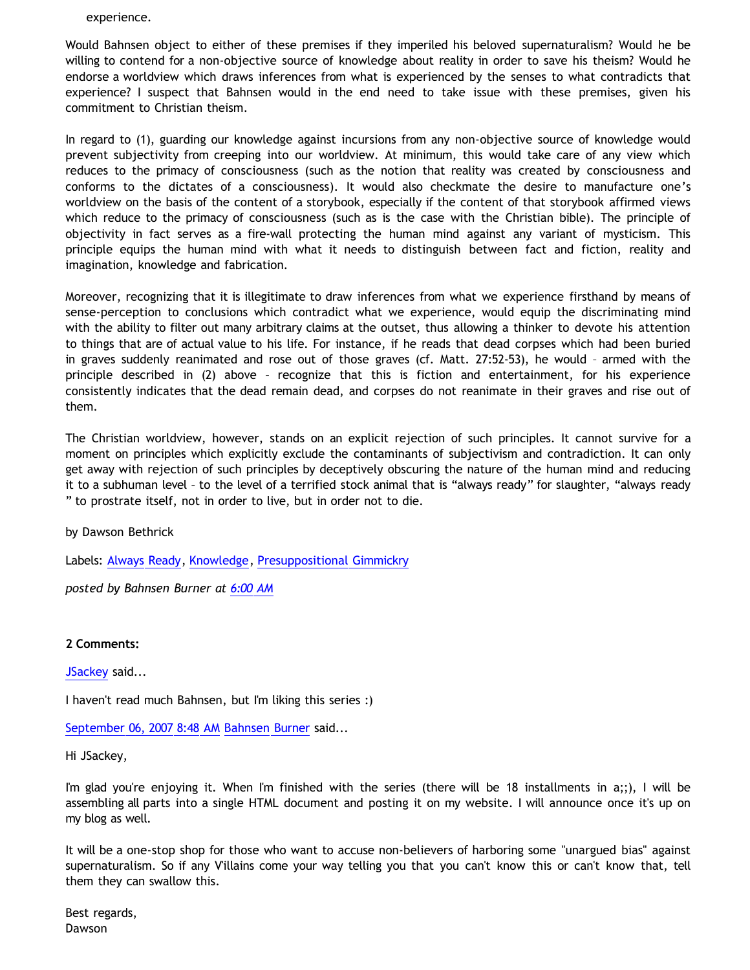## experience.

Would Bahnsen object to either of these premises if they imperiled his beloved supernaturalism? Would he be willing to contend for a non-objective source of knowledge about reality in order to save his theism? Would he endorse a worldview which draws inferences from what is experienced by the senses to what contradicts that experience? I suspect that Bahnsen would in the end need to take issue with these premises, given his commitment to Christian theism.

In regard to (1), guarding our knowledge against incursions from any non-objective source of knowledge would prevent subjectivity from creeping into our worldview. At minimum, this would take care of any view which reduces to the primacy of consciousness (such as the notion that reality was created by consciousness and conforms to the dictates of a consciousness). It would also checkmate the desire to manufacture one's worldview on the basis of the content of a storybook, especially if the content of that storybook affirmed views which reduce to the primacy of consciousness (such as is the case with the Christian bible). The principle of objectivity in fact serves as a fire-wall protecting the human mind against any variant of mysticism. This principle equips the human mind with what it needs to distinguish between fact and fiction, reality and imagination, knowledge and fabrication.

Moreover, recognizing that it is illegitimate to draw inferences from what we experience firsthand by means of sense-perception to conclusions which contradict what we experience, would equip the discriminating mind with the ability to filter out many arbitrary claims at the outset, thus allowing a thinker to devote his attention to things that are of actual value to his life. For instance, if he reads that dead corpses which had been buried in graves suddenly reanimated and rose out of those graves (cf. Matt. 27:52-53), he would – armed with the principle described in (2) above – recognize that this is fiction and entertainment, for his experience consistently indicates that the dead remain dead, and corpses do not reanimate in their graves and rise out of them.

The Christian worldview, however, stands on an explicit rejection of such principles. It cannot survive for a moment on principles which explicitly exclude the contaminants of subjectivism and contradiction. It can only get away with rejection of such principles by deceptively obscuring the nature of the human mind and reducing it to a subhuman level – to the level of a terrified stock animal that is "always ready" for slaughter, "always ready " to prostrate itself, not in order to live, but in order not to die.

by Dawson Bethrick

Labels: [Always Ready](http://bahnsenburner.blogspot.com/search/label/Always%20Ready), [Knowledge,](http://bahnsenburner.blogspot.com/search/label/Knowledge) [Presuppositional Gimmickry](http://bahnsenburner.blogspot.com/search/label/Presuppositional%20Gimmickry)

*posted by Bahnsen Burner at [6:00 AM](http://bahnsenburner.blogspot.com/2007/09/bahnsen-on-knowing-supernatural-part-12.html)*

**2 Comments:**

[JSackey](http://www.blogger.com/profile/09604208085934821426) said...

I haven't read much Bahnsen, but I'm liking this series :)

[September 06, 2007 8:48 AM](http://bahnsenburner.blogspot.com/2007/09/4697735675200148949) [Bahnsen Burner](http://www.blogger.com/profile/11030029491768748360) said...

Hi JSackey,

I'm glad you're enjoying it. When I'm finished with the series (there will be 18 installments in a;;), I will be assembling all parts into a single HTML document and posting it on my website. I will announce once it's up on my blog as well.

It will be a one-stop shop for those who want to accuse non-believers of harboring some "unargued bias" against supernaturalism. So if any V'illains come your way telling you that you can't know this or can't know that, tell them they can swallow this.

Best regards, Dawson